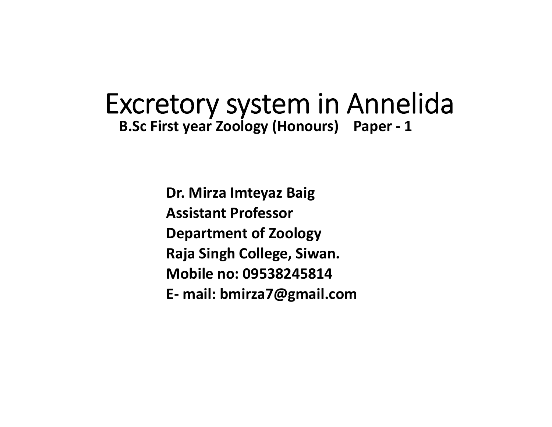# Excretory system in Annelida **B.Sc First year Zoology (Honours) Paper ‐ 1**

**Dr. Mirza Imteyaz Baig Assistant ProfessorDepartment of Zoology Raja Singh College, Siwan. Mobile no: 09538245814E‐ mail: bmirza7@gmail.com**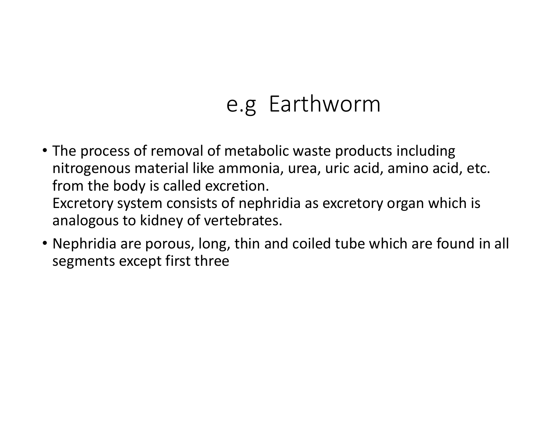# e.g Earthworm

- The process of removal of metabolic waste products including nitrogenous material like ammonia, urea, uric acid, amino acid, etc. from the body is called excretion. Excretory system consists of nephridia as excretory organ which is analogous to kidney of vertebrates.
- Nephridia are porous, long, thin and coiled tube which are found in all segments except first three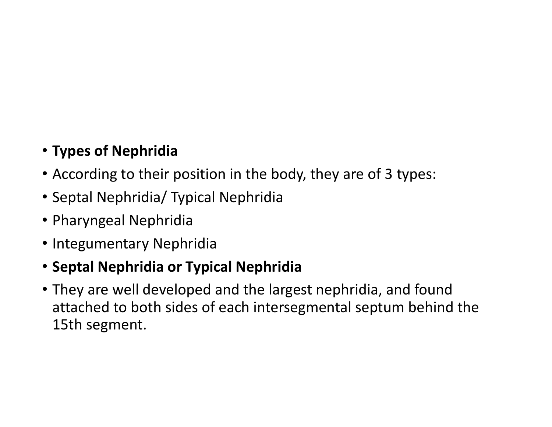# • **Types of Nephridia**

- According to their position in the body, they are of 3 types:
- Septal Nephridia/ Typical Nephridia
- Pharyngeal Nephridia
- Integumentary Nephridia

### • **Septal Nephridia or Typical Nephridia**

• They are well developed and the largest nephridia, and found attached to both sides of each intersegmental septum behind the 15th segment.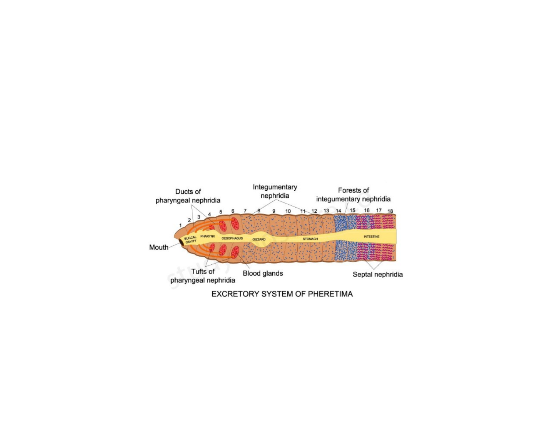

EXCRETORY SYSTEM OF PHERETIMA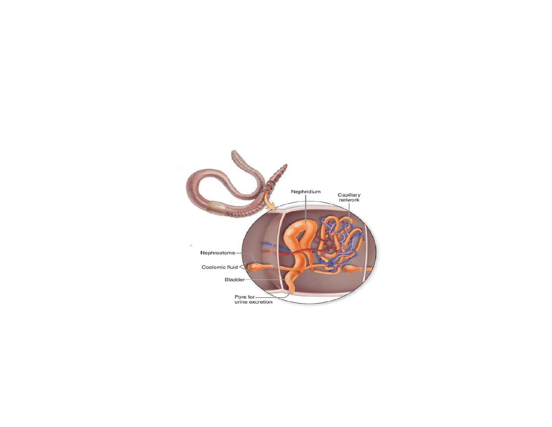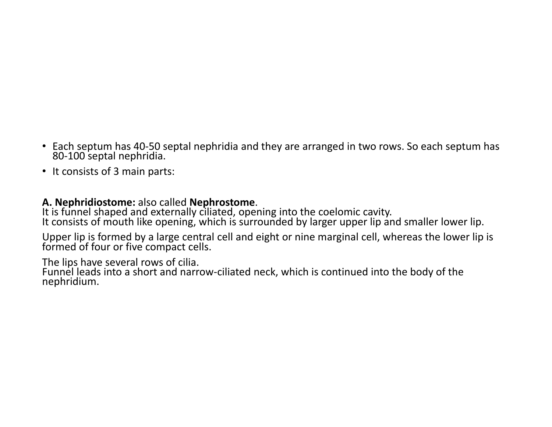- Each septum has 40-50 septal nephridia and they are arranged in two rows. So each septum has 80-100 septal nephridia.
- It consists of 3 main parts:

A. Nephridiostome: also called Nephrostome.<br>It is funnel shaped and externally ciliated, opening into the coelomic cavity.<br>It consists of mouth like opening, which is surrounded by larger upper lip and smaller lower lip.

Upper lip is formed by a large central cell and eight or nine marginal cell, whereas the lower lip is formed of four or five compact cells.

The lips have several rows of cilia.<br>Funnel leads into a short and narrow-ciliated neck, which is continued into the body of the nephridium.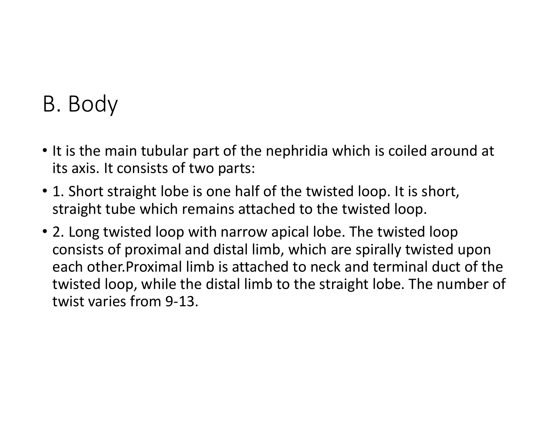# B. Body

- It is the main tubular part of the nephridia which is coiled around at its axis. It consists of two parts:
- 1. Short straight lobe is one half of the twisted loop. It is short, straight tube which remains attached to the twisted loop.
- 2. Long twisted loop with narrow apical lobe. The twisted loop consists of proximal and distal limb, which are spirally twisted upon each other.Proximal limb is attached to neck and terminal duct of the twisted loop, while the distal limb to the straight lobe. The number of twist varies from 9‐13.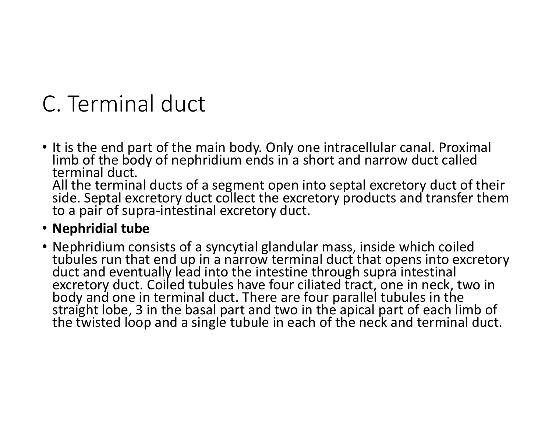# C. Terminal duct

• It is the end part of the main body. Only one intracellular canal. Proximal limb of the body of nephridium ends in a short and narrow duct called terminal duct.

All the terminal ducts of a segment open into septal excretory duct of their side. Septal excretory duct collect the excretory products and transfer them to a pair of supra-intestinal excretory duct.

#### • **Nephridial tube**

• Nephridium consists of a syncytial glandular mass, inside which coiled tubules run that end up in a narrow terminal duct that opens into excretory<br>duct and eventually lead into the intestine through supra intestinal<br>excretory duct. Coiled tubules have four ciliated tract, one in neck, two in<br>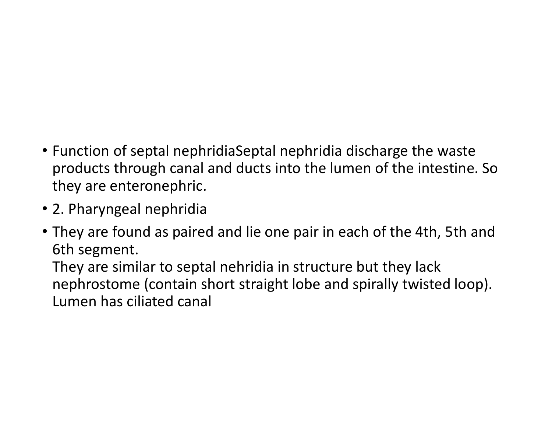- Function of septal nephridiaSeptal nephridia discharge the waste products through canal and ducts into the lumen of the intestine. So they are enteronephric.
- 2. Pharyngeal nephridia
- They are found as paired and lie one pair in each of the 4th, 5th and 6th segment.

They are similar to septal nehridia in structure but they lack nephrostome (contain short straight lobe and spirally twisted loop). Lumen has ciliated canal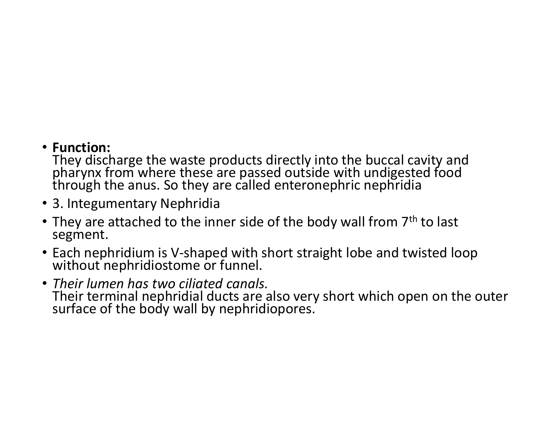#### • **Function:**

They discharge the waste products directly into the buccal cavity and pharynx from where these are passed outside with undigested food through the anus. So they are called enteronephric nephridia

- 3. Integumentary Nephridia
- They are attached to the inner side of the body wall from  $7<sup>th</sup>$  to last segment.
- Each nephridium is V-shaped with short straight lobe and twisted loop<br>without nephridiostome or funnel.
- *Their lumen has two ciliated canals.* Their terminal nephridial ducts are also very short which open on the outer surface of the body wall by nephridiopores.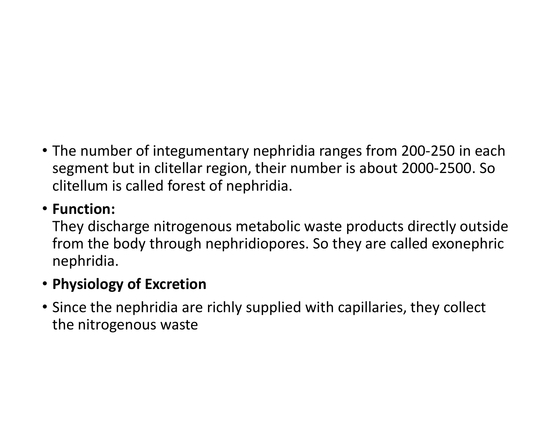• The number of integumentary nephridia ranges from 200‐250 in each segment but in clitellar region, their number is about 2000‐2500. So clitellum is called forest of nephridia.

### • **Function:**

They discharge nitrogenous metabolic waste products directly outside from the body through nephridiopores. So they are called exonephric nephridia.

# • **Physiology of Excretion**

• Since the nephridia are richly supplied with capillaries, they collect the nitrogenous waste